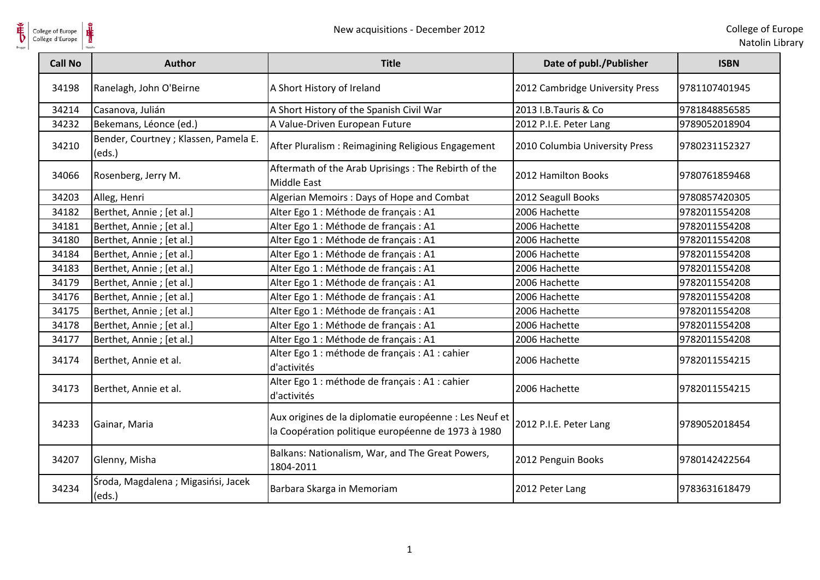

Natolin Library

| College of Europe<br>Collège d'Europe | New acquisitions - December 2012                |                                                                                                              |                                 | College of Eu<br>Natolin Lik |
|---------------------------------------|-------------------------------------------------|--------------------------------------------------------------------------------------------------------------|---------------------------------|------------------------------|
| <b>Call No</b>                        | <b>Author</b>                                   | <b>Title</b>                                                                                                 | Date of publ./Publisher         | <b>ISBN</b>                  |
| 34198                                 | Ranelagh, John O'Beirne                         | A Short History of Ireland                                                                                   | 2012 Cambridge University Press | 9781107401945                |
| 34214                                 | Casanova, Julián                                | A Short History of the Spanish Civil War                                                                     | 2013 I.B.Tauris & Co            | 9781848856585                |
| 34232                                 | Bekemans, Léonce (ed.)                          | A Value-Driven European Future                                                                               | 2012 P.I.E. Peter Lang          | 9789052018904                |
| 34210                                 | Bender, Courtney ; Klassen, Pamela E.<br>(eds.) | After Pluralism: Reimagining Religious Engagement                                                            | 2010 Columbia University Press  | 9780231152327                |
| 34066                                 | Rosenberg, Jerry M.                             | Aftermath of the Arab Uprisings: The Rebirth of the<br><b>Middle East</b>                                    | 2012 Hamilton Books             | 9780761859468                |
| 34203                                 | Alleg, Henri                                    | Algerian Memoirs: Days of Hope and Combat                                                                    | 2012 Seagull Books              | 9780857420305                |
| 34182                                 | Berthet, Annie ; [et al.]                       | Alter Ego 1 : Méthode de français : A1                                                                       | 2006 Hachette                   | 9782011554208                |
| 34181                                 | Berthet, Annie ; [et al.]                       | Alter Ego 1 : Méthode de français : A1                                                                       | 2006 Hachette                   | 9782011554208                |
| 34180                                 | Berthet, Annie ; [et al.]                       | Alter Ego 1 : Méthode de français : A1                                                                       | 2006 Hachette                   | 9782011554208                |
| 34184                                 | Berthet, Annie ; [et al.]                       | Alter Ego 1 : Méthode de français : A1                                                                       | 2006 Hachette                   | 9782011554208                |
| 34183                                 | Berthet, Annie ; [et al.]                       | Alter Ego 1 : Méthode de français : A1                                                                       | 2006 Hachette                   | 9782011554208                |
| 34179                                 | Berthet, Annie ; [et al.]                       | Alter Ego 1 : Méthode de français : A1                                                                       | 2006 Hachette                   | 9782011554208                |
| 34176                                 | Berthet, Annie ; [et al.]                       | Alter Ego 1 : Méthode de français : A1                                                                       | 2006 Hachette                   | 9782011554208                |
| 34175                                 | Berthet, Annie ; [et al.]                       | Alter Ego 1 : Méthode de français : A1                                                                       | 2006 Hachette                   | 9782011554208                |
| 34178                                 | Berthet, Annie ; [et al.]                       | Alter Ego 1 : Méthode de français : A1                                                                       | 2006 Hachette                   | 9782011554208                |
| 34177                                 | Berthet, Annie ; [et al.]                       | Alter Ego 1 : Méthode de français : A1                                                                       | 2006 Hachette                   | 9782011554208                |
| 34174                                 | Berthet, Annie et al.                           | Alter Ego 1 : méthode de français : A1 : cahier<br>d'activités                                               | 2006 Hachette                   | 9782011554215                |
| 34173                                 | Berthet, Annie et al.                           | Alter Ego 1 : méthode de français : A1 : cahier<br>d'activités                                               | 2006 Hachette                   | 9782011554215                |
| 34233                                 | Gainar, Maria                                   | Aux origines de la diplomatie européenne : Les Neuf et<br>la Coopération politique européenne de 1973 à 1980 | 2012 P.I.E. Peter Lang          | 9789052018454                |
| 34207                                 | Glenny, Misha                                   | Balkans: Nationalism, War, and The Great Powers,<br>1804-2011                                                | 2012 Penguin Books              | 9780142422564                |
| 34234                                 | Środa, Magdalena; Migasińsi, Jacek<br>(eds.)    | Barbara Skarga in Memoriam                                                                                   | 2012 Peter Lang                 | 9783631618479                |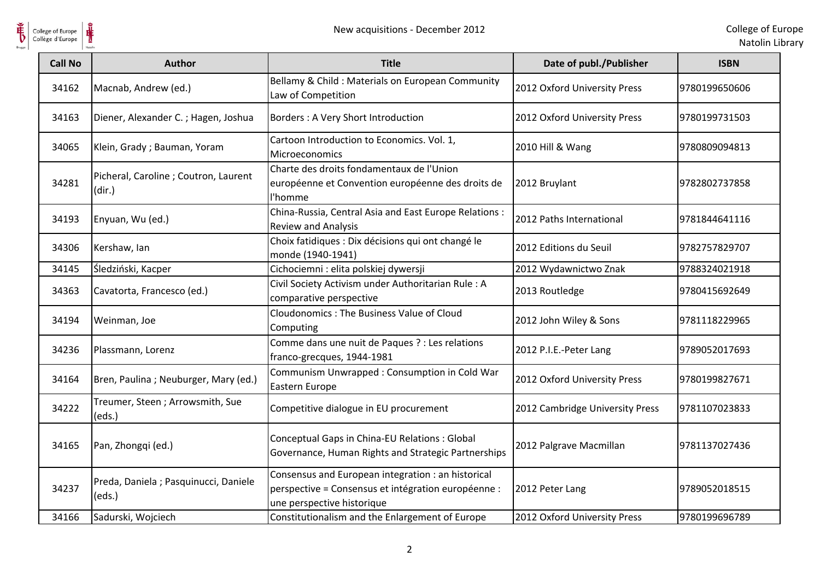

Natolin Library

| College of Europe<br>Collège d'Europe | New acquisitions - December 2012                |                                                                                                                                         |                                 | College of Eu<br>Natolin Lil |
|---------------------------------------|-------------------------------------------------|-----------------------------------------------------------------------------------------------------------------------------------------|---------------------------------|------------------------------|
| <b>Call No</b>                        | <b>Author</b>                                   | <b>Title</b>                                                                                                                            | Date of publ./Publisher         | <b>ISBN</b>                  |
| 34162                                 | Macnab, Andrew (ed.)                            | Bellamy & Child: Materials on European Community<br>Law of Competition                                                                  | 2012 Oxford University Press    | 9780199650606                |
| 34163                                 | Diener, Alexander C.; Hagen, Joshua             | Borders: A Very Short Introduction                                                                                                      | 2012 Oxford University Press    | 9780199731503                |
| 34065                                 | Klein, Grady; Bauman, Yoram                     | Cartoon Introduction to Economics. Vol. 1,<br><b>Microeconomics</b>                                                                     | 2010 Hill & Wang                | 9780809094813                |
| 34281                                 | Picheral, Caroline ; Coutron, Laurent<br>(dir.) | Charte des droits fondamentaux de l'Union<br>européenne et Convention européenne des droits de<br>l'homme                               | 2012 Bruylant                   | 9782802737858                |
| 34193                                 | Enyuan, Wu (ed.)                                | China-Russia, Central Asia and East Europe Relations:<br><b>Review and Analysis</b>                                                     | 2012 Paths International        | 9781844641116                |
| 34306                                 | Kershaw, lan                                    | Choix fatidiques : Dix décisions qui ont changé le<br>monde (1940-1941)                                                                 | 2012 Editions du Seuil          | 9782757829707                |
| 34145                                 | Śledziński, Kacper                              | Cichociemni : elita polskiej dywersji                                                                                                   | 2012 Wydawnictwo Znak           | 9788324021918                |
| 34363                                 | Cavatorta, Francesco (ed.)                      | Civil Society Activism under Authoritarian Rule: A<br>comparative perspective                                                           | 2013 Routledge                  | 9780415692649                |
| 34194                                 | Weinman, Joe                                    | Cloudonomics: The Business Value of Cloud<br>Computing                                                                                  | 2012 John Wiley & Sons          | 9781118229965                |
| 34236                                 | Plassmann, Lorenz                               | Comme dans une nuit de Paques ? : Les relations<br>franco-grecques, 1944-1981                                                           | 2012 P.I.E.-Peter Lang          | 9789052017693                |
| 34164                                 | Bren, Paulina; Neuburger, Mary (ed.)            | Communism Unwrapped: Consumption in Cold War<br>Eastern Europe                                                                          | 2012 Oxford University Press    | 9780199827671                |
| 34222                                 | Treumer, Steen; Arrowsmith, Sue<br>(eds.)       | Competitive dialogue in EU procurement                                                                                                  | 2012 Cambridge University Press | 9781107023833                |
| 34165                                 | Pan, Zhongqi (ed.)                              | Conceptual Gaps in China-EU Relations : Global<br>Governance, Human Rights and Strategic Partnerships                                   | 2012 Palgrave Macmillan         | 9781137027436                |
| 34237                                 | Preda, Daniela ; Pasquinucci, Daniele<br>(eds.) | Consensus and European integration : an historical<br>perspective = Consensus et intégration européenne :<br>une perspective historique | 2012 Peter Lang                 | 9789052018515                |
| 34166                                 | Sadurski, Wojciech                              | Constitutionalism and the Enlargement of Europe                                                                                         | 2012 Oxford University Press    | 9780199696789                |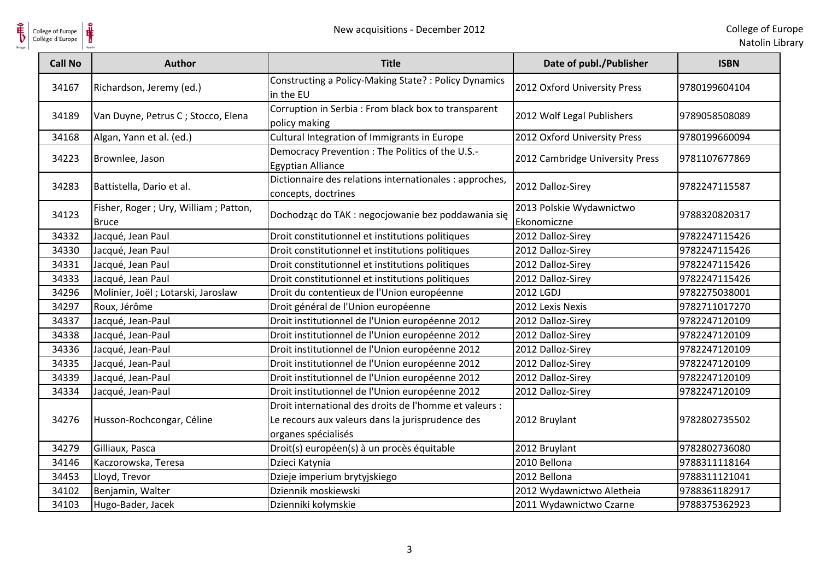

| College of Europe<br>Collège d'Europe | ⋕                                                    | New acquisitions - December 2012                                                                                                  |                                         | College of Eu<br>Natolin Lil |
|---------------------------------------|------------------------------------------------------|-----------------------------------------------------------------------------------------------------------------------------------|-----------------------------------------|------------------------------|
| <b>Call No</b>                        | <b>Author</b>                                        | <b>Title</b>                                                                                                                      | Date of publ./Publisher                 | <b>ISBN</b>                  |
| 34167                                 | Richardson, Jeremy (ed.)                             | Constructing a Policy-Making State? : Policy Dynamics<br>in the EU                                                                | 2012 Oxford University Press            | 9780199604104                |
| 34189                                 | Van Duyne, Petrus C; Stocco, Elena                   | Corruption in Serbia : From black box to transparent<br>policy making                                                             | 2012 Wolf Legal Publishers              | 9789058508089                |
| 34168                                 | Algan, Yann et al. (ed.)                             | Cultural Integration of Immigrants in Europe                                                                                      | 2012 Oxford University Press            | 9780199660094                |
| 34223                                 | Brownlee, Jason                                      | Democracy Prevention: The Politics of the U.S.-<br><b>Egyptian Alliance</b>                                                       | 2012 Cambridge University Press         | 9781107677869                |
| 34283                                 | Battistella, Dario et al.                            | Dictionnaire des relations internationales : approches,<br>concepts, doctrines                                                    | 2012 Dalloz-Sirey                       | 9782247115587                |
| 34123                                 | Fisher, Roger; Ury, William; Patton,<br><b>Bruce</b> | Dochodząc do TAK : negocjowanie bez poddawania się                                                                                | 2013 Polskie Wydawnictwo<br>Ekonomiczne | 9788320820317                |
| 34332                                 | Jacqué, Jean Paul                                    | Droit constitutionnel et institutions politiques                                                                                  | 2012 Dalloz-Sirey                       | 9782247115426                |
| 34330                                 | Jacqué, Jean Paul                                    | Droit constitutionnel et institutions politiques                                                                                  | 2012 Dalloz-Sirey                       | 9782247115426                |
| 34331                                 | Jacqué, Jean Paul                                    | Droit constitutionnel et institutions politiques                                                                                  | 2012 Dalloz-Sirey                       | 9782247115426                |
| 34333                                 | Jacqué, Jean Paul                                    | Droit constitutionnel et institutions politiques                                                                                  | 2012 Dalloz-Sirey                       | 9782247115426                |
| 34296                                 | Molinier, Joël ; Lotarski, Jaroslaw                  | Droit du contentieux de l'Union européenne                                                                                        | 2012 LGDJ                               | 9782275038001                |
| 34297                                 | Roux, Jérôme                                         | Droit général de l'Union européenne                                                                                               | 2012 Lexis Nexis                        | 9782711017270                |
| 34337                                 | Jacqué, Jean-Paul                                    | Droit institutionnel de l'Union européenne 2012                                                                                   | 2012 Dalloz-Sirey                       | 9782247120109                |
| 34338                                 | Jacqué, Jean-Paul                                    | Droit institutionnel de l'Union européenne 2012                                                                                   | 2012 Dalloz-Sirey                       | 9782247120109                |
| 34336                                 | Jacqué, Jean-Paul                                    | Droit institutionnel de l'Union européenne 2012                                                                                   | 2012 Dalloz-Sirey                       | 9782247120109                |
| 34335                                 | Jacqué, Jean-Paul                                    | Droit institutionnel de l'Union européenne 2012                                                                                   | 2012 Dalloz-Sirey                       | 9782247120109                |
| 34339                                 | Jacqué, Jean-Paul                                    | Droit institutionnel de l'Union européenne 2012                                                                                   | 2012 Dalloz-Sirey                       | 9782247120109                |
| 34334                                 | Jacqué, Jean-Paul                                    | Droit institutionnel de l'Union européenne 2012                                                                                   | 2012 Dalloz-Sirey                       | 9782247120109                |
| 34276                                 | Husson-Rochcongar, Céline                            | Droit international des droits de l'homme et valeurs :<br>Le recours aux valeurs dans la jurisprudence des<br>organes spécialisés | 2012 Bruylant                           | 9782802735502                |
| 34279                                 | Gilliaux, Pasca                                      | Droit(s) européen(s) à un procès équitable                                                                                        | 2012 Bruylant                           | 9782802736080                |
| 34146                                 | Kaczorowska, Teresa                                  | Dzieci Katynia                                                                                                                    | 2010 Bellona                            | 9788311118164                |
| 34453                                 | Lloyd, Trevor                                        | Dzieje imperium brytyjskiego                                                                                                      | 2012 Bellona                            | 9788311121041                |
| 34102                                 | Benjamin, Walter                                     | Dziennik moskiewski                                                                                                               | 2012 Wydawnictwo Aletheia               | 9788361182917                |
| 34103                                 | Hugo-Bader, Jacek                                    | Dzienniki kołymskie                                                                                                               | 2011 Wydawnictwo Czarne                 | 9788375362923                |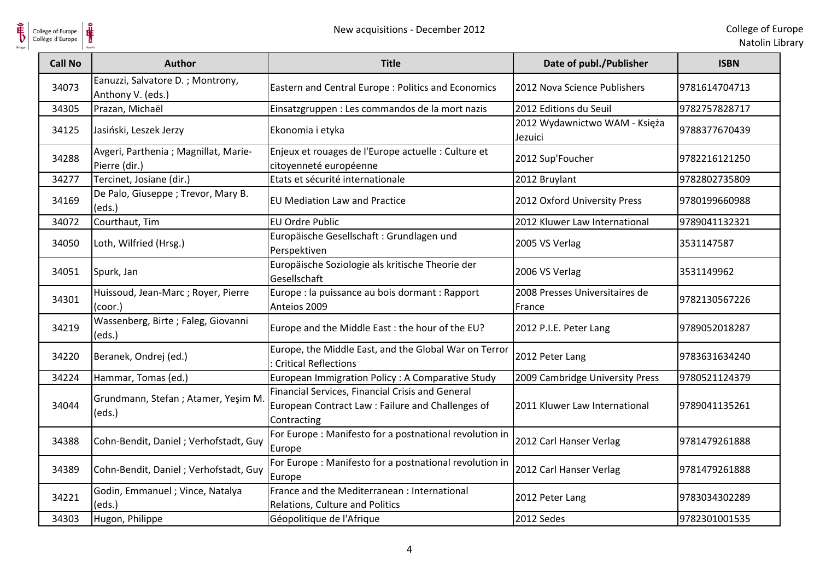

| Natolin Library |  |  |
|-----------------|--|--|
|                 |  |  |

| <b>Call No</b> | <b>Author</b>                                          | <b>Title</b>                                                                                                         | Date of publ./Publisher                  | <b>ISBN</b>   |
|----------------|--------------------------------------------------------|----------------------------------------------------------------------------------------------------------------------|------------------------------------------|---------------|
| 34073          | Eanuzzi, Salvatore D.; Montrony,<br>Anthony V. (eds.)  | Eastern and Central Europe : Politics and Economics                                                                  | 2012 Nova Science Publishers             | 9781614704713 |
| 34305          | Prazan, Michaël                                        | Einsatzgruppen : Les commandos de la mort nazis                                                                      | 2012 Editions du Seuil                   | 9782757828717 |
| 34125          | Jasiński, Leszek Jerzy                                 | Ekonomia i etyka                                                                                                     | 2012 Wydawnictwo WAM - Księża<br>Jezuici | 9788377670439 |
| 34288          | Avgeri, Parthenia ; Magnillat, Marie-<br>Pierre (dir.) | Enjeux et rouages de l'Europe actuelle : Culture et<br>citoyenneté européenne                                        | 2012 Sup'Foucher                         | 9782216121250 |
| 34277          | Tercinet, Josiane (dir.)                               | Etats et sécurité internationale                                                                                     | 2012 Bruylant                            | 9782802735809 |
| 34169          | De Palo, Giuseppe; Trevor, Mary B.<br>(eds.)           | <b>EU Mediation Law and Practice</b>                                                                                 | 2012 Oxford University Press             | 9780199660988 |
| 34072          | Courthaut, Tim                                         | <b>EU Ordre Public</b>                                                                                               | 2012 Kluwer Law International            | 9789041132321 |
| 34050          | Loth, Wilfried (Hrsg.)                                 | Europäische Gesellschaft: Grundlagen und<br>Perspektiven                                                             | 2005 VS Verlag                           | 3531147587    |
| 34051          | Spurk, Jan                                             | Europäische Soziologie als kritische Theorie der<br>Gesellschaft                                                     | 2006 VS Verlag                           | 3531149962    |
| 34301          | Huissoud, Jean-Marc; Royer, Pierre<br>(coor.)          | Europe : la puissance au bois dormant : Rapport<br>Anteios 2009                                                      | 2008 Presses Universitaires de<br>France | 9782130567226 |
| 34219          | Wassenberg, Birte; Faleg, Giovanni<br>(eds.)           | Europe and the Middle East : the hour of the EU?                                                                     | 2012 P.I.E. Peter Lang                   | 9789052018287 |
| 34220          | Beranek, Ondrej (ed.)                                  | Europe, the Middle East, and the Global War on Terror<br><b>Critical Reflections</b>                                 | 2012 Peter Lang                          | 9783631634240 |
| 34224          | Hammar, Tomas (ed.)                                    | European Immigration Policy : A Comparative Study                                                                    | 2009 Cambridge University Press          | 9780521124379 |
| 34044          | Grundmann, Stefan ; Atamer, Yeşim M.<br>(eds.)         | Financial Services, Financial Crisis and General<br>European Contract Law : Failure and Challenges of<br>Contracting | 2011 Kluwer Law International            | 9789041135261 |
| 34388          | Cohn-Bendit, Daniel; Verhofstadt, Guy                  | For Europe: Manifesto for a postnational revolution in<br>Europe                                                     | 2012 Carl Hanser Verlag                  | 9781479261888 |
| 34389          | Cohn-Bendit, Daniel; Verhofstadt, Guy                  | For Europe: Manifesto for a postnational revolution in<br>Europe                                                     | 2012 Carl Hanser Verlag                  | 9781479261888 |
| 34221          | Godin, Emmanuel ; Vince, Natalya<br>(eds.)             | France and the Mediterranean : International<br>Relations, Culture and Politics                                      | 2012 Peter Lang                          | 9783034302289 |
| 34303          | Hugon, Philippe                                        | Géopolitique de l'Afrique                                                                                            | 2012 Sedes                               | 9782301001535 |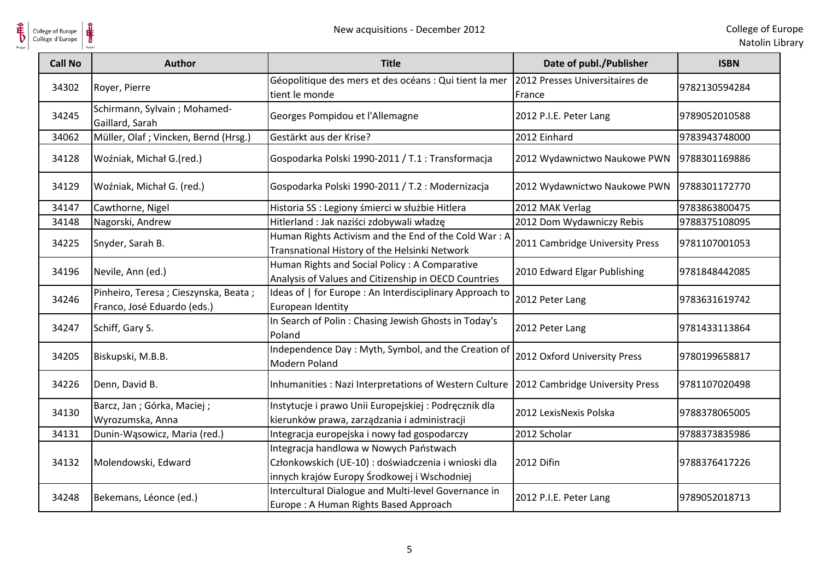

| College of Europe<br>Collège d'Europe |                                                                     | New acquisitions - December 2012                                                                                                             |                                          | College of Eu<br>Natolin Lib |
|---------------------------------------|---------------------------------------------------------------------|----------------------------------------------------------------------------------------------------------------------------------------------|------------------------------------------|------------------------------|
| <b>Call No</b>                        | <b>Author</b>                                                       | <b>Title</b>                                                                                                                                 | Date of publ./Publisher                  | <b>ISBN</b>                  |
| 34302                                 | Royer, Pierre                                                       | Géopolitique des mers et des océans : Qui tient la mer<br>tient le monde                                                                     | 2012 Presses Universitaires de<br>France | 9782130594284                |
| 34245                                 | Schirmann, Sylvain ; Mohamed-<br>Gaillard, Sarah                    | Georges Pompidou et l'Allemagne                                                                                                              | 2012 P.I.E. Peter Lang                   | 9789052010588                |
| 34062                                 | Müller, Olaf ; Vincken, Bernd (Hrsg.)                               | Gestärkt aus der Krise?                                                                                                                      | 2012 Einhard                             | 9783943748000                |
| 34128                                 | Woźniak, Michał G.(red.)                                            | Gospodarka Polski 1990-2011 / T.1 : Transformacja                                                                                            | 2012 Wydawnictwo Naukowe PWN             | 9788301169886                |
| 34129                                 | Woźniak, Michał G. (red.)                                           | Gospodarka Polski 1990-2011 / T.2 : Modernizacja                                                                                             | 2012 Wydawnictwo Naukowe PWN             | 9788301172770                |
| 34147                                 | Cawthorne, Nigel                                                    | Historia SS : Legiony śmierci w służbie Hitlera                                                                                              | 2012 MAK Verlag                          | 9783863800475                |
| 34148                                 | Nagorski, Andrew                                                    | Hitlerland : Jak naziści zdobywali władzę                                                                                                    | 2012 Dom Wydawniczy Rebis                | 9788375108095                |
| 34225                                 | Snyder, Sarah B.                                                    | Human Rights Activism and the End of the Cold War: A<br>Transnational History of the Helsinki Network                                        | 2011 Cambridge University Press          | 9781107001053                |
| 34196                                 | Nevile, Ann (ed.)                                                   | Human Rights and Social Policy: A Comparative<br>Analysis of Values and Citizenship in OECD Countries                                        | 2010 Edward Elgar Publishing             | 9781848442085                |
| 34246                                 | Pinheiro, Teresa; Cieszynska, Beata;<br>Franco, José Eduardo (eds.) | Ideas of   for Europe : An Interdisciplinary Approach to<br>European Identity                                                                | 2012 Peter Lang                          | 9783631619742                |
| 34247                                 | Schiff, Gary S.                                                     | In Search of Polin: Chasing Jewish Ghosts in Today's<br>Poland                                                                               | 2012 Peter Lang                          | 9781433113864                |
| 34205                                 | Biskupski, M.B.B.                                                   | Independence Day: Myth, Symbol, and the Creation of<br>Modern Poland                                                                         | 2012 Oxford University Press             | 9780199658817                |
| 34226                                 | Denn, David B.                                                      | Inhumanities : Nazi Interpretations of Western Culture                                                                                       | 2012 Cambridge University Press          | 9781107020498                |
| 34130                                 | Barcz, Jan; Górka, Maciej;<br>Wyrozumska, Anna                      | Instytucje i prawo Unii Europejskiej : Podręcznik dla<br>kierunków prawa, zarządzania i administracji                                        | 2012 LexisNexis Polska                   | 9788378065005                |
| 34131                                 | Dunin-Wąsowicz, Maria (red.)                                        | Integracja europejska i nowy ład gospodarczy                                                                                                 | 2012 Scholar                             | 9788373835986                |
| 34132                                 | Molendowski, Edward                                                 | Integracja handlowa w Nowych Państwach<br>Członkowskich (UE-10) : doświadczenia i wnioski dla<br>innych krajów Europy Środkowej i Wschodniej | 2012 Difin                               | 9788376417226                |
| 34248                                 | Bekemans, Léonce (ed.)                                              | Intercultural Dialogue and Multi-level Governance in<br>Europe: A Human Rights Based Approach                                                | 2012 P.I.E. Peter Lang                   | 9789052018713                |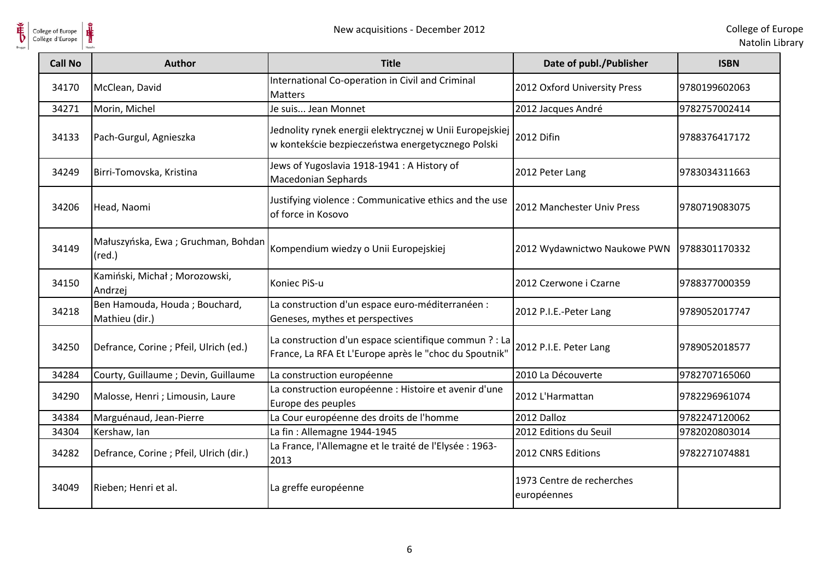

| College of Europe<br>Collège d'Europe | New acquisitions - December 2012                      |                                                                                                                  |                                          | College of Eur<br>Natolin Lib |
|---------------------------------------|-------------------------------------------------------|------------------------------------------------------------------------------------------------------------------|------------------------------------------|-------------------------------|
| <b>Call No</b>                        | <b>Author</b>                                         | <b>Title</b>                                                                                                     | Date of publ./Publisher                  | <b>ISBN</b>                   |
| 34170                                 | McClean, David                                        | International Co-operation in Civil and Criminal<br><b>Matters</b>                                               | 2012 Oxford University Press             | 9780199602063                 |
| 34271                                 | Morin, Michel                                         | Je suis Jean Monnet                                                                                              | 2012 Jacques André                       | 9782757002414                 |
| 34133                                 | Pach-Gurgul, Agnieszka                                | Jednolity rynek energii elektrycznej w Unii Europejskiej<br>w kontekście bezpieczeństwa energetycznego Polski    | 2012 Difin                               | 9788376417172                 |
| 34249                                 | Birri-Tomovska, Kristina                              | Jews of Yugoslavia 1918-1941 : A History of<br><b>Macedonian Sephards</b>                                        | 2012 Peter Lang                          | 9783034311663                 |
| 34206                                 | Head, Naomi                                           | Justifying violence: Communicative ethics and the use<br>of force in Kosovo                                      | 2012 Manchester Univ Press               | 9780719083075                 |
| 34149                                 | Małuszyńska, Ewa; Gruchman, Bohdan<br>$(\text{red.})$ | Kompendium wiedzy o Unii Europejskiej                                                                            | 2012 Wydawnictwo Naukowe PWN             | 9788301170332                 |
| 34150                                 | Kamiński, Michał; Morozowski,<br>Andrzej              | Koniec PiS-u                                                                                                     | 2012 Czerwone i Czarne                   | 9788377000359                 |
| 34218                                 | Ben Hamouda, Houda; Bouchard,<br>Mathieu (dir.)       | La construction d'un espace euro-méditerranéen :<br>Geneses, mythes et perspectives                              | 2012 P.I.E.-Peter Lang                   | 9789052017747                 |
| 34250                                 | Defrance, Corine ; Pfeil, Ulrich (ed.)                | La construction d'un espace scientifique commun ? : La<br>France, La RFA Et L'Europe après le "choc du Spoutnik" | 2012 P.I.E. Peter Lang                   | 9789052018577                 |
| 34284                                 | Courty, Guillaume ; Devin, Guillaume                  | La construction européenne                                                                                       | 2010 La Découverte                       | 9782707165060                 |
| 34290                                 | Malosse, Henri ; Limousin, Laure                      | La construction européenne : Histoire et avenir d'une<br>Europe des peuples                                      | 2012 L'Harmattan                         | 9782296961074                 |
| 34384                                 | Marguénaud, Jean-Pierre                               | La Cour européenne des droits de l'homme                                                                         | 2012 Dalloz                              | 9782247120062                 |
| 34304                                 | Kershaw, lan                                          | La fin: Allemagne 1944-1945                                                                                      | 2012 Editions du Seuil                   | 9782020803014                 |
| 34282                                 | Defrance, Corine ; Pfeil, Ulrich (dir.)               | La France, l'Allemagne et le traité de l'Elysée : 1963-<br>2013                                                  | 2012 CNRS Editions                       | 9782271074881                 |
| 34049                                 | Rieben; Henri et al.                                  | La greffe européenne                                                                                             | 1973 Centre de recherches<br>européennes |                               |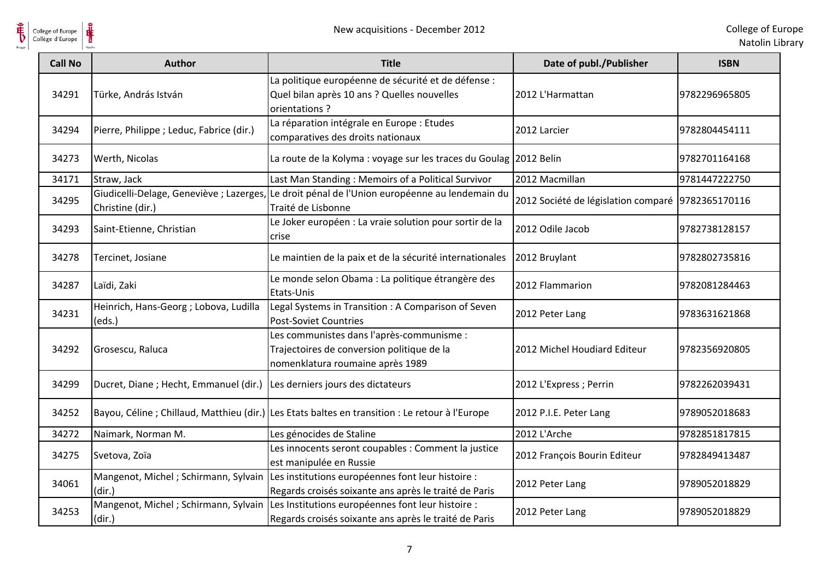

| College of Europe<br>Collège d'Europe | New acquisitions - December 2012                             |                                                                                                                                                 |                                                   | College of Eu<br>Natolin Lik |
|---------------------------------------|--------------------------------------------------------------|-------------------------------------------------------------------------------------------------------------------------------------------------|---------------------------------------------------|------------------------------|
| <b>Call No</b>                        | <b>Author</b>                                                | <b>Title</b>                                                                                                                                    | Date of publ./Publisher                           | <b>ISBN</b>                  |
| 34291                                 | Türke, András István                                         | La politique européenne de sécurité et de défense :<br>Quel bilan après 10 ans ? Quelles nouvelles<br>orientations?                             | 2012 L'Harmattan                                  | 9782296965805                |
| 34294                                 | Pierre, Philippe ; Leduc, Fabrice (dir.)                     | La réparation intégrale en Europe : Etudes<br>comparatives des droits nationaux                                                                 | 2012 Larcier                                      | 9782804454111                |
| 34273                                 | Werth, Nicolas                                               | La route de la Kolyma : voyage sur les traces du Goulag 2012 Belin                                                                              |                                                   | 9782701164168                |
| 34171                                 | Straw, Jack                                                  | Last Man Standing: Memoirs of a Political Survivor                                                                                              | 2012 Macmillan                                    | 9781447222750                |
| 34295                                 | Giudicelli-Delage, Geneviève ; Lazerges,<br>Christine (dir.) | Le droit pénal de l'Union européenne au lendemain du<br>Traité de Lisbonne                                                                      | 2012 Société de législation comparé 9782365170116 |                              |
| 34293                                 | Saint-Etienne, Christian                                     | Le Joker européen : La vraie solution pour sortir de la<br>crise                                                                                | 2012 Odile Jacob                                  | 9782738128157                |
| 34278                                 | Tercinet, Josiane                                            | Le maintien de la paix et de la sécurité internationales                                                                                        | 2012 Bruylant                                     | 9782802735816                |
| 34287                                 | Laïdi, Zaki                                                  | Le monde selon Obama : La politique étrangère des<br>Etats-Unis                                                                                 | 2012 Flammarion                                   | 9782081284463                |
| 34231                                 | Heinrich, Hans-Georg ; Lobova, Ludilla<br>(eds.)             | Legal Systems in Transition : A Comparison of Seven<br><b>Post-Soviet Countries</b>                                                             | 2012 Peter Lang                                   | 9783631621868                |
| 34292                                 | Grosescu, Raluca                                             | Les communistes dans l'après-communisme :<br>Trajectoires de conversion politique de la<br>nomenklatura roumaine après 1989                     | 2012 Michel Houdiard Editeur                      | 9782356920805                |
| 34299                                 | Ducret, Diane; Hecht, Emmanuel (dir.)                        | Les derniers jours des dictateurs                                                                                                               | 2012 L'Express ; Perrin                           | 9782262039431                |
| 34252                                 |                                                              | Bayou, Céline ; Chillaud, Matthieu (dir.) Les Etats baltes en transition : Le retour à l'Europe                                                 | 2012 P.I.E. Peter Lang                            | 9789052018683                |
| 34272                                 | Naimark, Norman M.                                           | Les génocides de Staline                                                                                                                        | 2012 L'Arche                                      | 9782851817815                |
| 34275                                 | Svetova, Zoïa                                                | Les innocents seront coupables : Comment la justice<br>est manipulée en Russie                                                                  | 2012 François Bourin Editeur                      | 9782849413487                |
| 34061                                 | (dir.)                                                       | Mangenot, Michel; Schirmann, Sylvain Les institutions européennes font leur histoire :<br>Regards croisés soixante ans après le traité de Paris | 2012 Peter Lang                                   | 9789052018829                |
| 34253                                 | (dir.)                                                       | Mangenot, Michel; Schirmann, Sylvain Les Institutions européennes font leur histoire :<br>Regards croisés soixante ans après le traité de Paris | 2012 Peter Lang                                   | 9789052018829                |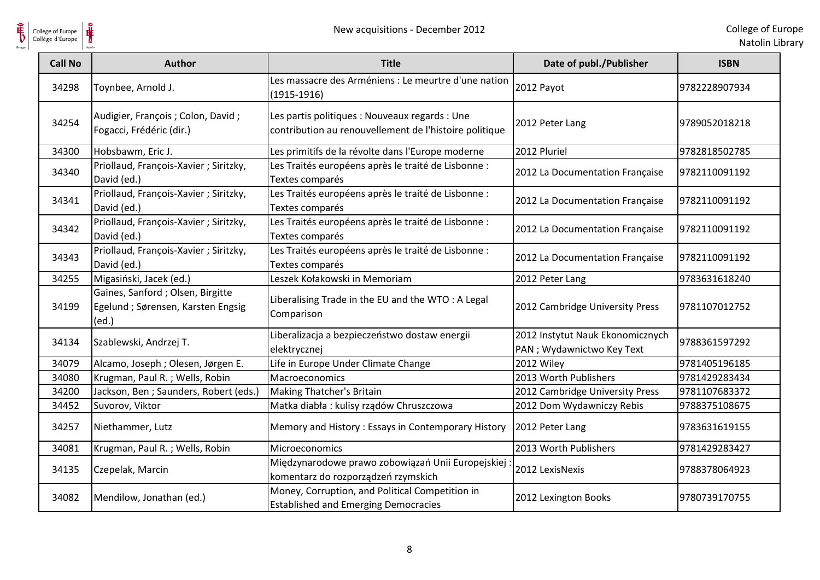

| College of Europe<br>Collège d'Europe |                                                                                  | New acquisitions - December 2012                                                                         |                                                                | College of Eur<br>Natolin Lib |
|---------------------------------------|----------------------------------------------------------------------------------|----------------------------------------------------------------------------------------------------------|----------------------------------------------------------------|-------------------------------|
| <b>Call No</b>                        | Author                                                                           | <b>Title</b>                                                                                             | Date of publ./Publisher                                        | <b>ISBN</b>                   |
| 34298                                 | Toynbee, Arnold J.                                                               | Les massacre des Arméniens : Le meurtre d'une nation<br>$(1915-1916)$                                    | 2012 Payot                                                     | 9782228907934                 |
| 34254                                 | Audigier, François ; Colon, David ;<br>Fogacci, Frédéric (dir.)                  | Les partis politiques : Nouveaux regards : Une<br>contribution au renouvellement de l'histoire politique | 2012 Peter Lang                                                | 9789052018218                 |
| 34300                                 | Hobsbawm, Eric J.                                                                | Les primitifs de la révolte dans l'Europe moderne                                                        | 2012 Pluriel                                                   | 9782818502785                 |
| 34340                                 | Priollaud, François-Xavier ; Siritzky,<br>David (ed.)                            | Les Traités européens après le traité de Lisbonne :<br>Textes comparés                                   | 2012 La Documentation Française                                | 9782110091192                 |
| 34341                                 | Priollaud, François-Xavier ; Siritzky,<br>David (ed.)                            | Les Traités européens après le traité de Lisbonne :<br>Textes comparés                                   | 2012 La Documentation Française                                | 9782110091192                 |
| 34342                                 | Priollaud, François-Xavier ; Siritzky,<br>David (ed.)                            | Les Traités européens après le traité de Lisbonne :<br>Textes comparés                                   | 2012 La Documentation Française                                | 9782110091192                 |
| 34343                                 | Priollaud, François-Xavier ; Siritzky,<br>David (ed.)                            | Les Traités européens après le traité de Lisbonne :<br>Textes comparés                                   | 2012 La Documentation Française                                | 9782110091192                 |
| 34255                                 | Migasiński, Jacek (ed.)                                                          | Leszek Kołakowski in Memoriam                                                                            | 2012 Peter Lang                                                | 9783631618240                 |
| 34199                                 | Gaines, Sanford ; Olsen, Birgitte<br>Egelund ; Sørensen, Karsten Engsig<br>(ed.) | Liberalising Trade in the EU and the WTO: A Legal<br>Comparison                                          | 2012 Cambridge University Press                                | 9781107012752                 |
| 34134                                 | Szablewski, Andrzej T.                                                           | Liberalizacja a bezpieczeństwo dostaw energii<br>elektrycznej                                            | 2012 Instytut Nauk Ekonomicznych<br>PAN ; Wydawnictwo Key Text | 9788361597292                 |
| 34079                                 | Alcamo, Joseph ; Olesen, Jørgen E.                                               | Life in Europe Under Climate Change                                                                      | 2012 Wiley                                                     | 9781405196185                 |
| 34080                                 | Krugman, Paul R.; Wells, Robin                                                   | Macroeconomics                                                                                           | 2013 Worth Publishers                                          | 9781429283434                 |
| 34200                                 | Jackson, Ben ; Saunders, Robert (eds.)                                           | Making Thatcher's Britain                                                                                | 2012 Cambridge University Press                                | 9781107683372                 |
| 34452                                 | Suvorov, Viktor                                                                  | Matka diabła: kulisy rządów Chruszczowa                                                                  | 2012 Dom Wydawniczy Rebis                                      | 9788375108675                 |
| 34257                                 | Niethammer, Lutz                                                                 | Memory and History: Essays in Contemporary History                                                       | 2012 Peter Lang                                                | 9783631619155                 |
| 34081                                 | Krugman, Paul R.; Wells, Robin                                                   | Microeconomics                                                                                           | 2013 Worth Publishers                                          | 9781429283427                 |
| 34135                                 | Czepelak, Marcin                                                                 | Międzynarodowe prawo zobowiązań Unii Europejskiej<br>komentarz do rozporządzeń rzymskich                 | 2012 LexisNexis                                                | 9788378064923                 |
| 34082                                 | Mendilow, Jonathan (ed.)                                                         | Money, Corruption, and Political Competition in<br><b>Established and Emerging Democracies</b>           | 2012 Lexington Books                                           | 9780739170755                 |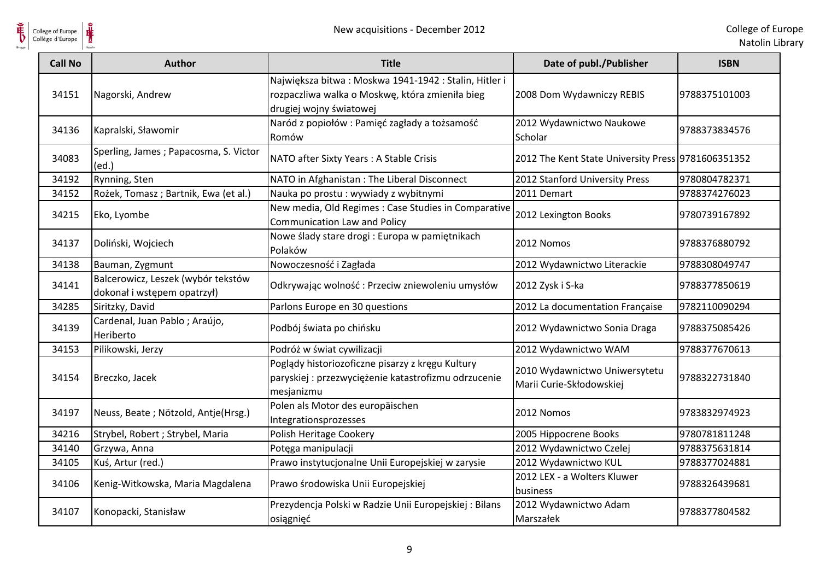

| College of Europe<br>Collège d'Europe | New acquisitions - December 2012                                  |                                                                                                                                    |                                                           | College of Eu<br>Natolin Lib |
|---------------------------------------|-------------------------------------------------------------------|------------------------------------------------------------------------------------------------------------------------------------|-----------------------------------------------------------|------------------------------|
| <b>Call No</b>                        | <b>Author</b>                                                     | <b>Title</b>                                                                                                                       | Date of publ./Publisher                                   | <b>ISBN</b>                  |
| 34151                                 | Nagorski, Andrew                                                  | Największa bitwa: Moskwa 1941-1942: Stalin, Hitler i<br>rozpaczliwa walka o Moskwę, która zmieniła bieg<br>drugiej wojny światowej | 2008 Dom Wydawniczy REBIS                                 | 9788375101003                |
| 34136                                 | Kapralski, Sławomir                                               | Naród z popiołów: Pamięć zagłady a tożsamość<br>Romów                                                                              | 2012 Wydawnictwo Naukowe<br>Scholar                       | 9788373834576                |
| 34083                                 | Sperling, James; Papacosma, S. Victor<br>(ed.)                    | NATO after Sixty Years: A Stable Crisis                                                                                            | 2012 The Kent State University Press 9781606351352        |                              |
| 34192                                 | Rynning, Sten                                                     | NATO in Afghanistan : The Liberal Disconnect                                                                                       | 2012 Stanford University Press                            | 9780804782371                |
| 34152                                 | Rożek, Tomasz; Bartnik, Ewa (et al.)                              | Nauka po prostu: wywiady z wybitnymi                                                                                               | 2011 Demart                                               | 9788374276023                |
| 34215                                 | Eko, Lyombe                                                       | New media, Old Regimes : Case Studies in Comparative<br><b>Communication Law and Policy</b>                                        | 2012 Lexington Books                                      | 9780739167892                |
| 34137                                 | Doliński, Wojciech                                                | Nowe ślady stare drogi : Europa w pamiętnikach<br>Polaków                                                                          | 2012 Nomos                                                | 9788376880792                |
| 34138                                 | Bauman, Zygmunt                                                   | Nowoczesność i Zagłada                                                                                                             | 2012 Wydawnictwo Literackie                               | 9788308049747                |
| 34141                                 | Balcerowicz, Leszek (wybór tekstów<br>dokonał i wstępem opatrzył) | Odkrywając wolność: Przeciw zniewoleniu umysłów                                                                                    | 2012 Zysk i S-ka                                          | 9788377850619                |
| 34285                                 | Siritzky, David                                                   | Parlons Europe en 30 questions                                                                                                     | 2012 La documentation Française                           | 9782110090294                |
| 34139                                 | Cardenal, Juan Pablo; Araújo,<br>Heriberto                        | Podbój świata po chińsku                                                                                                           | 2012 Wydawnictwo Sonia Draga                              | 9788375085426                |
| 34153                                 | Pilikowski, Jerzy                                                 | Podróż w świat cywilizacji                                                                                                         | 2012 Wydawnictwo WAM                                      | 9788377670613                |
| 34154                                 | Breczko, Jacek                                                    | Poglądy historiozoficzne pisarzy z kręgu Kultury<br>paryskiej : przezwyciężenie katastrofizmu odrzucenie<br>mesjanizmu             | 2010 Wydawnictwo Uniwersytetu<br>Marii Curie-Skłodowskiej | 9788322731840                |
| 34197                                 | Neuss, Beate; Nötzold, Antje(Hrsg.)                               | Polen als Motor des europäischen<br>Integrationsprozesses                                                                          | 2012 Nomos                                                | 9783832974923                |
| 34216                                 | Strybel, Robert ; Strybel, Maria                                  | Polish Heritage Cookery                                                                                                            | 2005 Hippocrene Books                                     | 9780781811248                |
| 34140                                 | Grzywa, Anna                                                      | Potęga manipulacji                                                                                                                 | 2012 Wydawnictwo Czelej                                   | 9788375631814                |
| 34105                                 | Kuś, Artur (red.)                                                 | Prawo instytucjonalne Unii Europejskiej w zarysie                                                                                  | 2012 Wydawnictwo KUL                                      | 9788377024881                |
| 34106                                 | Kenig-Witkowska, Maria Magdalena                                  | Prawo środowiska Unii Europejskiej                                                                                                 | 2012 LEX - a Wolters Kluwer<br>business                   | 9788326439681                |
| 34107                                 | Konopacki, Stanisław                                              | Prezydencja Polski w Radzie Unii Europejskiej: Bilans<br>osiągnięć                                                                 | 2012 Wydawnictwo Adam<br>Marszałek                        | 9788377804582                |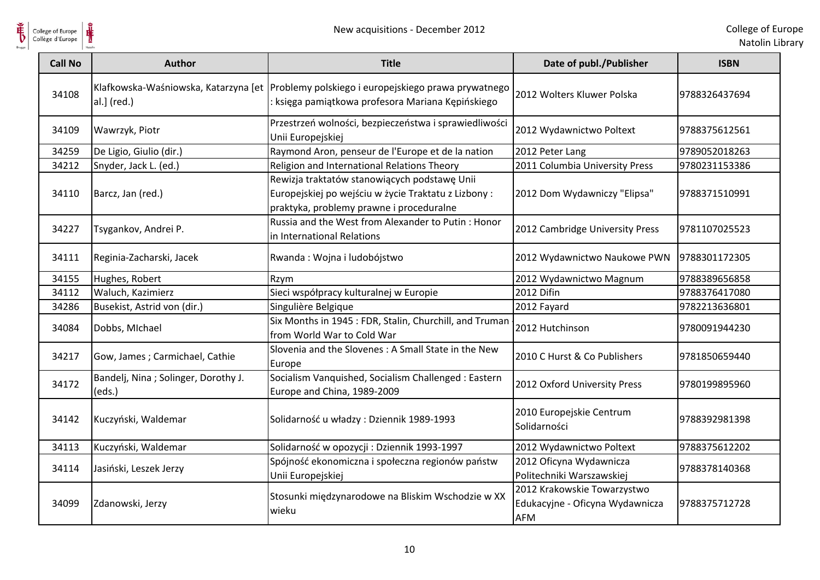

| college of Europe<br>collège d'Europe |                                                | New acquisitions - December 2012                                                                                                                |                                                                              | College of Eu<br>Natolin Lik |
|---------------------------------------|------------------------------------------------|-------------------------------------------------------------------------------------------------------------------------------------------------|------------------------------------------------------------------------------|------------------------------|
| <b>Call No</b>                        | <b>Author</b>                                  | <b>Title</b>                                                                                                                                    | Date of publ./Publisher                                                      | <b>ISBN</b>                  |
| 34108                                 | al.] (red.)                                    | Klafkowska-Waśniowska, Katarzyna [et   Problemy polskiego i europejskiego prawa prywatnego<br>: księga pamiątkowa profesora Mariana Kępińskiego | 2012 Wolters Kluwer Polska                                                   | 9788326437694                |
| 34109                                 | Wawrzyk, Piotr                                 | Przestrzeń wolności, bezpieczeństwa i sprawiedliwości<br>Unii Europejskiej                                                                      | 2012 Wydawnictwo Poltext                                                     | 9788375612561                |
| 34259                                 | De Ligio, Giulio (dir.)                        | Raymond Aron, penseur de l'Europe et de la nation                                                                                               | 2012 Peter Lang                                                              | 9789052018263                |
| 34212                                 | Snyder, Jack L. (ed.)                          | Religion and International Relations Theory                                                                                                     | 2011 Columbia University Press                                               | 9780231153386                |
| 34110                                 | Barcz, Jan (red.)                              | Rewizja traktatów stanowiących podstawę Unii<br>Europejskiej po wejściu w życie Traktatu z Lizbony:<br>praktyka, problemy prawne i proceduralne | 2012 Dom Wydawniczy "Elipsa"                                                 | 9788371510991                |
| 34227                                 | Tsygankov, Andrei P.                           | Russia and the West from Alexander to Putin: Honor<br>in International Relations                                                                | 2012 Cambridge University Press                                              | 9781107025523                |
| 34111                                 | Reginia-Zacharski, Jacek                       | Rwanda: Wojna i ludobójstwo                                                                                                                     | 2012 Wydawnictwo Naukowe PWN                                                 | 9788301172305                |
| 34155                                 | Hughes, Robert                                 | Rzym                                                                                                                                            | 2012 Wydawnictwo Magnum                                                      | 9788389656858                |
| 34112                                 | Waluch, Kazimierz                              | Sieci współpracy kulturalnej w Europie                                                                                                          | 2012 Difin                                                                   | 9788376417080                |
| 34286                                 | Busekist, Astrid von (dir.)                    | Singulière Belgique                                                                                                                             | 2012 Fayard                                                                  | 9782213636801                |
| 34084                                 | Dobbs, MIchael                                 | Six Months in 1945 : FDR, Stalin, Churchill, and Truman<br>from World War to Cold War                                                           | 2012 Hutchinson                                                              | 9780091944230                |
| 34217                                 | Gow, James; Carmichael, Cathie                 | Slovenia and the Slovenes : A Small State in the New<br>Europe                                                                                  | 2010 C Hurst & Co Publishers                                                 | 9781850659440                |
| 34172                                 | Bandelj, Nina ; Solinger, Dorothy J.<br>(eds.) | Socialism Vanquished, Socialism Challenged: Eastern<br>Europe and China, 1989-2009                                                              | 2012 Oxford University Press                                                 | 9780199895960                |
| 34142                                 | Kuczyński, Waldemar                            | Solidarność u władzy: Dziennik 1989-1993                                                                                                        | 2010 Europejskie Centrum<br>Solidarności                                     | 9788392981398                |
| 34113                                 | Kuczyński, Waldemar                            | Solidarność w opozycji : Dziennik 1993-1997                                                                                                     | 2012 Wydawnictwo Poltext                                                     | 9788375612202                |
| 34114                                 | Jasiński, Leszek Jerzy                         | Spójność ekonomiczna i społeczna regionów państw<br>Unii Europejskiej                                                                           | 2012 Oficyna Wydawnicza<br>Politechniki Warszawskiej                         | 9788378140368                |
| 34099                                 | Zdanowski, Jerzy                               | Stosunki międzynarodowe na Bliskim Wschodzie w XX<br>wieku                                                                                      | 2012 Krakowskie Towarzystwo<br>Edukacyjne - Oficyna Wydawnicza<br><b>AFM</b> | 9788375712728                |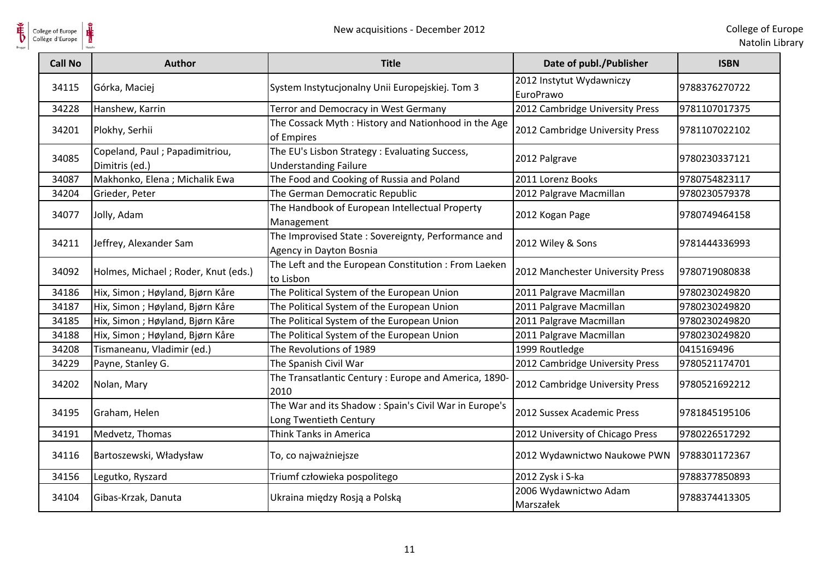

| College of Europe<br>Collège d'Europe | New acquisitions - December 2012                  |                                                                                 |                                       | College of Eur<br>Natolin Lib |
|---------------------------------------|---------------------------------------------------|---------------------------------------------------------------------------------|---------------------------------------|-------------------------------|
| <b>Call No</b>                        | <b>Author</b>                                     | <b>Title</b>                                                                    | Date of publ./Publisher               | <b>ISBN</b>                   |
| 34115                                 | Górka, Maciej                                     | System Instytucjonalny Unii Europejskiej. Tom 3                                 | 2012 Instytut Wydawniczy<br>EuroPrawo | 9788376270722                 |
| 34228                                 | Hanshew, Karrin                                   | Terror and Democracy in West Germany                                            | 2012 Cambridge University Press       | 9781107017375                 |
| 34201                                 | Plokhy, Serhii                                    | The Cossack Myth: History and Nationhood in the Age<br>of Empires               | 2012 Cambridge University Press       | 9781107022102                 |
| 34085                                 | Copeland, Paul ; Papadimitriou,<br>Dimitris (ed.) | The EU's Lisbon Strategy : Evaluating Success,<br><b>Understanding Failure</b>  | 2012 Palgrave                         | 9780230337121                 |
| 34087                                 | Makhonko, Elena; Michalik Ewa                     | The Food and Cooking of Russia and Poland                                       | 2011 Lorenz Books                     | 9780754823117                 |
| 34204                                 | Grieder, Peter                                    | The German Democratic Republic                                                  | 2012 Palgrave Macmillan               | 9780230579378                 |
| 34077                                 | Jolly, Adam                                       | The Handbook of European Intellectual Property<br>Management                    | 2012 Kogan Page                       | 9780749464158                 |
| 34211                                 | Jeffrey, Alexander Sam                            | The Improvised State: Sovereignty, Performance and<br>Agency in Dayton Bosnia   | 2012 Wiley & Sons                     | 9781444336993                 |
| 34092                                 | Holmes, Michael; Roder, Knut (eds.)               | The Left and the European Constitution : From Laeken<br>to Lisbon               | 2012 Manchester University Press      | 9780719080838                 |
| 34186                                 | Hix, Simon; Høyland, Bjørn Kåre                   | The Political System of the European Union                                      | 2011 Palgrave Macmillan               | 9780230249820                 |
| 34187                                 | Hix, Simon ; Høyland, Bjørn Kåre                  | The Political System of the European Union                                      | 2011 Palgrave Macmillan               | 9780230249820                 |
| 34185                                 | Hix, Simon; Høyland, Bjørn Kåre                   | The Political System of the European Union                                      | 2011 Palgrave Macmillan               | 9780230249820                 |
| 34188                                 | Hix, Simon; Høyland, Bjørn Kåre                   | The Political System of the European Union                                      | 2011 Palgrave Macmillan               | 9780230249820                 |
| 34208                                 | Tismaneanu, Vladimir (ed.)                        | The Revolutions of 1989                                                         | 1999 Routledge                        | 0415169496                    |
| 34229                                 | Payne, Stanley G.                                 | The Spanish Civil War                                                           | 2012 Cambridge University Press       | 9780521174701                 |
| 34202                                 | Nolan, Mary                                       | The Transatlantic Century: Europe and America, 1890-<br>2010                    | 2012 Cambridge University Press       | 9780521692212                 |
| 34195                                 | Graham, Helen                                     | The War and its Shadow: Spain's Civil War in Europe's<br>Long Twentieth Century | 2012 Sussex Academic Press            | 9781845195106                 |
| 34191                                 | Medvetz, Thomas                                   | Think Tanks in America                                                          | 2012 University of Chicago Press      | 9780226517292                 |
| 34116                                 | Bartoszewski, Władysław                           | To, co najważniejsze                                                            | 2012 Wydawnictwo Naukowe PWN          | 9788301172367                 |
| 34156                                 | Legutko, Ryszard                                  | Triumf człowieka pospolitego                                                    | 2012 Zysk i S-ka                      | 9788377850893                 |
| 34104                                 | Gibas-Krzak, Danuta                               | Ukraina między Rosją a Polską                                                   | 2006 Wydawnictwo Adam<br>Marszałek    | 9788374413305                 |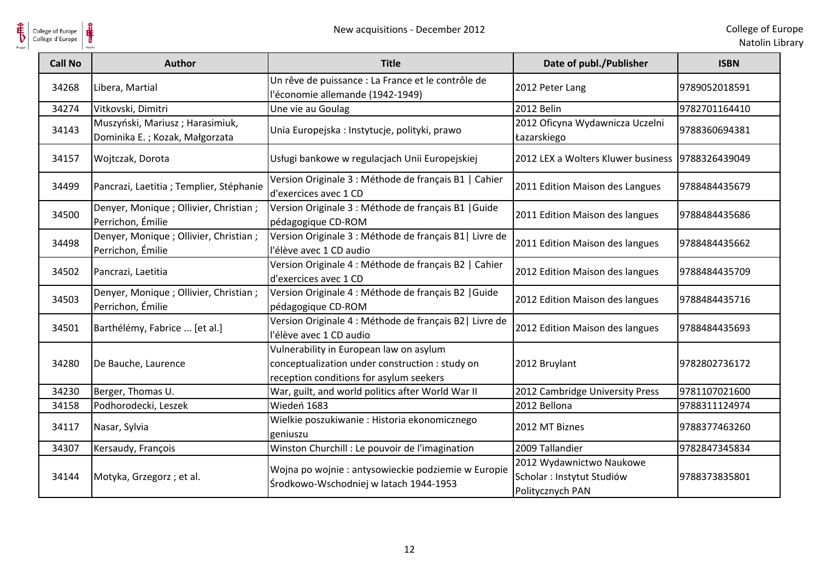

| College of Europe<br>Collège d'Europe | New acquisitions - December 2012                                  |                                                                                                                                       |                                                                            | College of Eu<br>Natolin Lik |
|---------------------------------------|-------------------------------------------------------------------|---------------------------------------------------------------------------------------------------------------------------------------|----------------------------------------------------------------------------|------------------------------|
| <b>Call No</b>                        | <b>Author</b>                                                     | <b>Title</b>                                                                                                                          | Date of publ./Publisher                                                    | <b>ISBN</b>                  |
| 34268                                 | Libera, Martial                                                   | Un rêve de puissance : La France et le contrôle de<br>l'économie allemande (1942-1949)                                                | 2012 Peter Lang                                                            | 9789052018591                |
| 34274                                 | Vitkovski, Dimitri                                                | Une vie au Goulag                                                                                                                     | 2012 Belin                                                                 | 9782701164410                |
| 34143                                 | Muszyński, Mariusz; Harasimiuk,<br>Dominika E.; Kozak, Małgorzata | Unia Europejska: Instytucje, polityki, prawo                                                                                          | 2012 Oficyna Wydawnicza Uczelni<br>Łazarskiego                             | 9788360694381                |
| 34157                                 | Wojtczak, Dorota                                                  | Usługi bankowe w regulacjach Unii Europejskiej                                                                                        | 2012 LEX a Wolters Kluwer business                                         | 9788326439049                |
| 34499                                 | Pancrazi, Laetitia ; Templier, Stéphanie                          | Version Originale 3 : Méthode de français B1   Cahier<br>d'exercices avec 1 CD                                                        | 2011 Edition Maison des Langues                                            | 9788484435679                |
| 34500                                 | Denyer, Monique ; Ollivier, Christian ;<br>Perrichon, Émilie      | Version Originale 3 : Méthode de français B1   Guide<br>pédagogique CD-ROM                                                            | 2011 Edition Maison des langues                                            | 9788484435686                |
| 34498                                 | Denyer, Monique ; Ollivier, Christian ;<br>Perrichon, Émilie      | Version Originale 3 : Méthode de français B1   Livre de<br>l'élève avec 1 CD audio                                                    | 2011 Edition Maison des langues                                            | 9788484435662                |
| 34502                                 | Pancrazi, Laetitia                                                | Version Originale 4 : Méthode de français B2   Cahier<br>d'exercices avec 1 CD                                                        | 2012 Edition Maison des langues                                            | 9788484435709                |
| 34503                                 | Denyer, Monique ; Ollivier, Christian ;<br>Perrichon, Émilie      | Version Originale 4 : Méthode de français B2   Guide<br>pédagogique CD-ROM                                                            | 2012 Edition Maison des langues                                            | 9788484435716                |
| 34501                                 | Barthélémy, Fabrice  [et al.]                                     | Version Originale 4 : Méthode de français B2   Livre de<br>l'élève avec 1 CD audio                                                    | 2012 Edition Maison des langues                                            | 9788484435693                |
| 34280                                 | De Bauche, Laurence                                               | Vulnerability in European law on asylum<br>conceptualization under construction : study on<br>reception conditions for asylum seekers | 2012 Bruylant                                                              | 9782802736172                |
| 34230                                 | Berger, Thomas U.                                                 | War, guilt, and world politics after World War II                                                                                     | 2012 Cambridge University Press                                            | 9781107021600                |
| 34158                                 | Podhorodecki, Leszek                                              | Wiedeń 1683                                                                                                                           | 2012 Bellona                                                               | 9788311124974                |
| 34117                                 | Nasar, Sylvia                                                     | Wielkie poszukiwanie : Historia ekonomicznego<br>geniuszu                                                                             | 2012 MT Biznes                                                             | 9788377463260                |
| 34307                                 | Kersaudy, François                                                | Winston Churchill : Le pouvoir de l'imagination                                                                                       | 2009 Tallandier                                                            | 9782847345834                |
| 34144                                 | Motyka, Grzegorz; et al.                                          | Wojna po wojnie : antysowieckie podziemie w Europie<br>Środkowo-Wschodniej w latach 1944-1953                                         | 2012 Wydawnictwo Naukowe<br>Scholar : Instytut Studiów<br>Politycznych PAN | 9788373835801                |